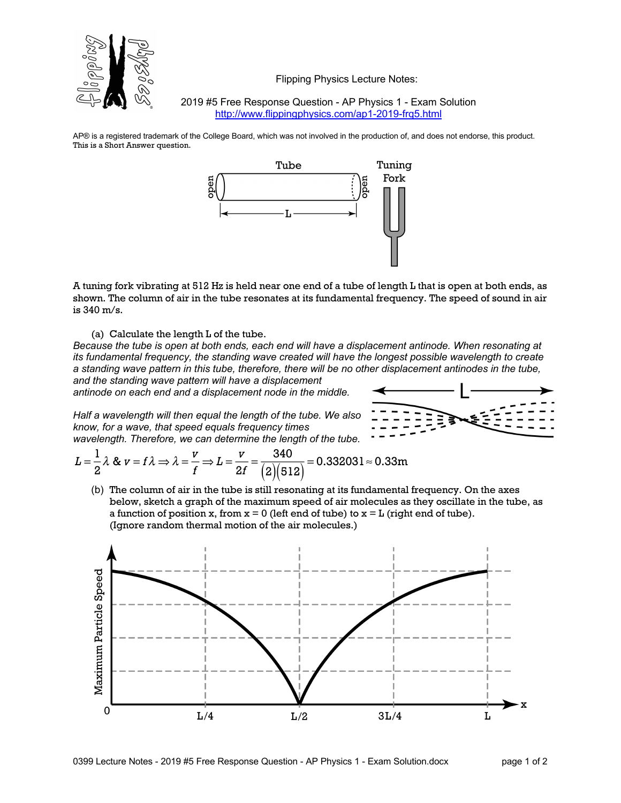

Flipping Physics Lecture Notes:

2019 #5 Free Response Question - AP Physics 1 - Exam Solution http://www.flippingphysics.com/ap1-2019-frq5.html

AP® is a registered trademark of the College Board, which was not involved in the production of, and does not endorse, this product. This is a Short Answer question.



A tuning fork vibrating at 512 Hz is held near one end of a tube of length L that is open at both ends, as shown. The column of air in the tube resonates at its fundamental frequency. The speed of sound in air is 340 m/s.

(a) Calculate the length L of the tube.

*Because the tube is open at both ends, each end will have a displacement antinode. When resonating at its fundamental frequency, the standing wave created will have the longest possible wavelength to create a standing wave pattern in this tube, therefore, there will be no other displacement antinodes in the tube, and the standing wave pattern will have a displacement* 

*antinode on each end and a displacement node in the middle.*

*Half a wavelength will then equal the length of the tube. We also know, for a wave, that speed equals frequency times wavelength. Therefore, we can determine the length of the tube.*

$$
L = \frac{1}{2}\lambda \& v = f\lambda \Rightarrow \lambda = \frac{v}{f} \Rightarrow L = \frac{v}{2f} = \frac{340}{\left(2\right)\left(512\right)} = 0.332031 \approx 0.33 \text{m}
$$

(b) The column of air in the tube is still resonating at its fundamental frequency. On the axes below, sketch a graph of the maximum speed of air molecules as they oscillate in the tube, as a function of position x, from  $x = 0$  (left end of tube) to  $x = L$  (right end of tube). (Ignore random thermal motion of the air molecules.)